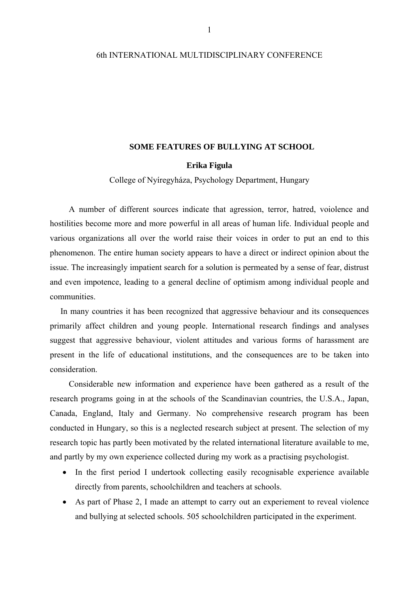## 6th INTERNATIONAL MULTIDISCIPLINARY CONFERENCE

## **SOME FEATURES OF BULLYING AT SCHOOL**

# **Erika Figula**

College of Nyíregyháza, Psychology Department, Hungary

 A number of different sources indicate that agression, terror, hatred, voiolence and hostilities become more and more powerful in all areas of human life. Individual people and various organizations all over the world raise their voices in order to put an end to this phenomenon. The entire human society appears to have a direct or indirect opinion about the issue. The increasingly impatient search for a solution is permeated by a sense of fear, distrust and even impotence, leading to a general decline of optimism among individual people and communities.

 In many countries it has been recognized that aggressive behaviour and its consequences primarily affect children and young people. International research findings and analyses suggest that aggressive behaviour, violent attitudes and various forms of harassment are present in the life of educational institutions, and the consequences are to be taken into consideration.

 Considerable new information and experience have been gathered as a result of the research programs going in at the schools of the Scandinavian countries, the U.S.A., Japan, Canada, England, Italy and Germany. No comprehensive research program has been conducted in Hungary, so this is a neglected research subject at present. The selection of my research topic has partly been motivated by the related international literature available to me, and partly by my own experience collected during my work as a practising psychologist.

- In the first period I undertook collecting easily recognisable experience available directly from parents, schoolchildren and teachers at schools.
- As part of Phase 2, I made an attempt to carry out an experiement to reveal violence and bullying at selected schools. 505 schoolchildren participated in the experiment.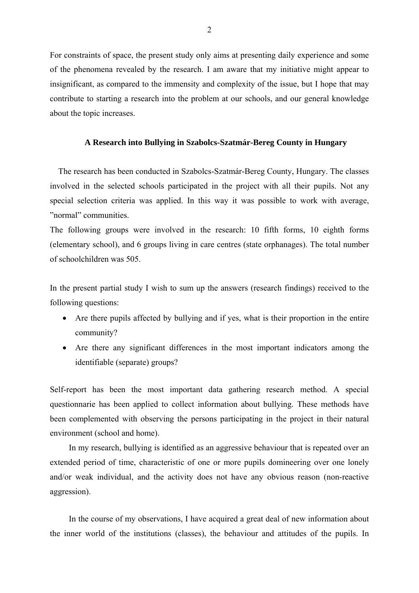For constraints of space, the present study only aims at presenting daily experience and some of the phenomena revealed by the research. I am aware that my initiative might appear to insignificant, as compared to the immensity and complexity of the issue, but I hope that may contribute to starting a research into the problem at our schools, and our general knowledge about the topic increases.

## **A Research into Bullying in Szabolcs-Szatmár-Bereg County in Hungary**

 The research has been conducted in Szabolcs-Szatmár-Bereg County, Hungary. The classes involved in the selected schools participated in the project with all their pupils. Not any special selection criteria was applied. In this way it was possible to work with average, "normal" communities.

The following groups were involved in the research: 10 fifth forms, 10 eighth forms (elementary school), and 6 groups living in care centres (state orphanages). The total number of schoolchildren was 505.

In the present partial study I wish to sum up the answers (research findings) received to the following questions:

- Are there pupils affected by bullying and if yes, what is their proportion in the entire community?
- Are there any significant differences in the most important indicators among the identifiable (separate) groups?

Self-report has been the most important data gathering research method. A special questionnarie has been applied to collect information about bullying. These methods have been complemented with observing the persons participating in the project in their natural environment (school and home).

 In my research, bullying is identified as an aggressive behaviour that is repeated over an extended period of time, characteristic of one or more pupils domineering over one lonely and/or weak individual, and the activity does not have any obvious reason (non-reactive aggression).

 In the course of my observations, I have acquired a great deal of new information about the inner world of the institutions (classes), the behaviour and attitudes of the pupils. In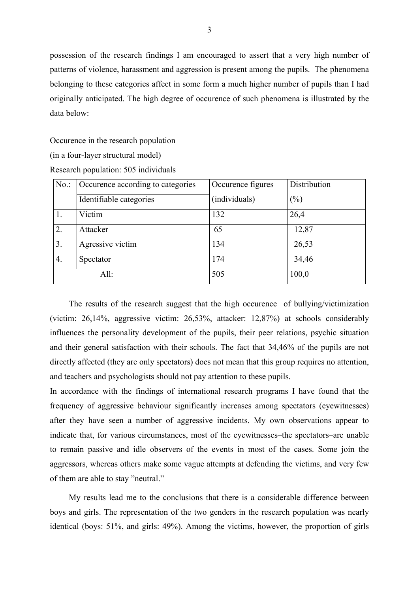possession of the research findings I am encouraged to assert that a very high number of patterns of violence, harassment and aggression is present among the pupils. The phenomena belonging to these categories affect in some form a much higher number of pupils than I had originally anticipated. The high degree of occurence of such phenomena is illustrated by the data below:

Occurence in the research population

(in a four-layer structural model)

Research population: 505 individuals

| No.  | Occurence according to categories | Occurence figures | Distribution |
|------|-----------------------------------|-------------------|--------------|
|      | Identifiable categories           | (individuals)     | (%)          |
|      | Victim                            | 132               | 26,4         |
| 2.   | Attacker                          | 65                | 12,87        |
| 3.   | Agressive victim                  | 134               | 26,53        |
| 4.   | Spectator                         | 174               | 34,46        |
| All: |                                   | 505               | 100,0        |

 The results of the research suggest that the high occurence of bullying/victimization (victim: 26,14%, aggressive victim: 26,53%, attacker: 12,87%) at schools considerably influences the personality development of the pupils, their peer relations, psychic situation and their general satisfaction with their schools. The fact that 34,46% of the pupils are not directly affected (they are only spectators) does not mean that this group requires no attention, and teachers and psychologists should not pay attention to these pupils.

In accordance with the findings of international research programs I have found that the frequency of aggressive behaviour significantly increases among spectators (eyewitnesses) after they have seen a number of aggressive incidents. My own observations appear to indicate that, for various circumstances, most of the eyewitnesses–the spectators–are unable to remain passive and idle observers of the events in most of the cases. Some join the aggressors, whereas others make some vague attempts at defending the victims, and very few of them are able to stay "neutral."

 My results lead me to the conclusions that there is a considerable difference between boys and girls. The representation of the two genders in the research population was nearly identical (boys: 51%, and girls: 49%). Among the victims, however, the proportion of girls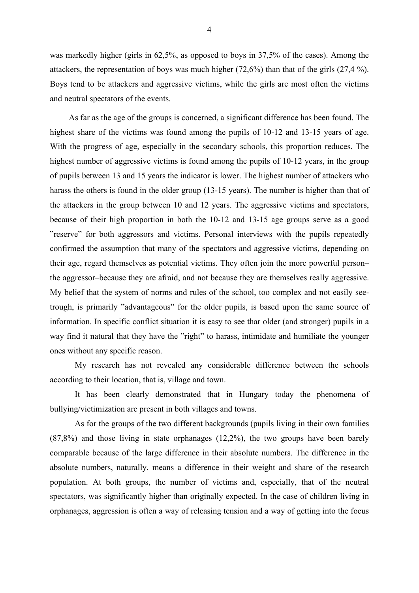was markedly higher (girls in 62,5%, as opposed to boys in 37,5% of the cases). Among the attackers, the representation of boys was much higher (72,6%) than that of the girls (27,4 %). Boys tend to be attackers and aggressive victims, while the girls are most often the victims and neutral spectators of the events.

 As far as the age of the groups is concerned, a significant difference has been found. The highest share of the victims was found among the pupils of 10-12 and 13-15 years of age. With the progress of age, especially in the secondary schools, this proportion reduces. The highest number of aggressive victims is found among the pupils of 10-12 years, in the group of pupils between 13 and 15 years the indicator is lower. The highest number of attackers who harass the others is found in the older group (13-15 years). The number is higher than that of the attackers in the group between 10 and 12 years. The aggressive victims and spectators, because of their high proportion in both the 10-12 and 13-15 age groups serve as a good "reserve" for both aggressors and victims. Personal interviews with the pupils repeatedly confirmed the assumption that many of the spectators and aggressive victims, depending on their age, regard themselves as potential victims. They often join the more powerful person– the aggressor–because they are afraid, and not because they are themselves really aggressive. My belief that the system of norms and rules of the school, too complex and not easily seetrough, is primarily "advantageous" for the older pupils, is based upon the same source of information. In specific conflict situation it is easy to see thar older (and stronger) pupils in a way find it natural that they have the "right" to harass, intimidate and humiliate the younger ones without any specific reason.

My research has not revealed any considerable difference between the schools according to their location, that is, village and town.

It has been clearly demonstrated that in Hungary today the phenomena of bullying/victimization are present in both villages and towns.

As for the groups of the two different backgrounds (pupils living in their own families (87,8%) and those living in state orphanages (12,2%), the two groups have been barely comparable because of the large difference in their absolute numbers. The difference in the absolute numbers, naturally, means a difference in their weight and share of the research population. At both groups, the number of victims and, especially, that of the neutral spectators, was significantly higher than originally expected. In the case of children living in orphanages, aggression is often a way of releasing tension and a way of getting into the focus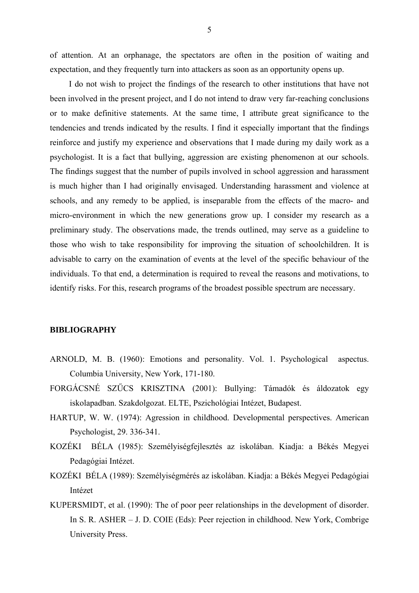of attention. At an orphanage, the spectators are often in the position of waiting and expectation, and they frequently turn into attackers as soon as an opportunity opens up.

 I do not wish to project the findings of the research to other institutions that have not been involved in the present project, and I do not intend to draw very far-reaching conclusions or to make definitive statements. At the same time, I attribute great significance to the tendencies and trends indicated by the results. I find it especially important that the findings reinforce and justify my experience and observations that I made during my daily work as a psychologist. It is a fact that bullying, aggression are existing phenomenon at our schools. The findings suggest that the number of pupils involved in school aggression and harassment is much higher than I had originally envisaged. Understanding harassment and violence at schools, and any remedy to be applied, is inseparable from the effects of the macro- and micro-environment in which the new generations grow up. I consider my research as a preliminary study. The observations made, the trends outlined, may serve as a guideline to those who wish to take responsibility for improving the situation of schoolchildren. It is advisable to carry on the examination of events at the level of the specific behaviour of the individuals. To that end, a determination is required to reveal the reasons and motivations, to identify risks. For this, research programs of the broadest possible spectrum are necessary.

#### **BIBLIOGRAPHY**

- ARNOLD, M. B. (1960): Emotions and personality. Vol. 1. Psychological aspectus. Columbia University, New York, 171-180.
- FORGÁCSNÉ SZŰCS KRISZTINA (2001): Bullying: Támadók és áldozatok egy iskolapadban. Szakdolgozat. ELTE, Pszichológiai Intézet, Budapest.
- HARTUP, W. W. (1974): Agression in childhood. Developmental perspectives. American Psychologist, 29. 336-341.
- KOZÉKI BÉLA (1985): Személyiségfejlesztés az iskolában. Kiadja: a Békés Megyei Pedagógiai Intézet.
- KOZÉKI BÉLA (1989): Személyiségmérés az iskolában. Kiadja: a Békés Megyei Pedagógiai Intézet
- KUPERSMIDT, et al. (1990): The of poor peer relationships in the development of disorder. In S. R. ASHER – J. D. COIE (Eds): Peer rejection in childhood. New York, Combrige University Press.